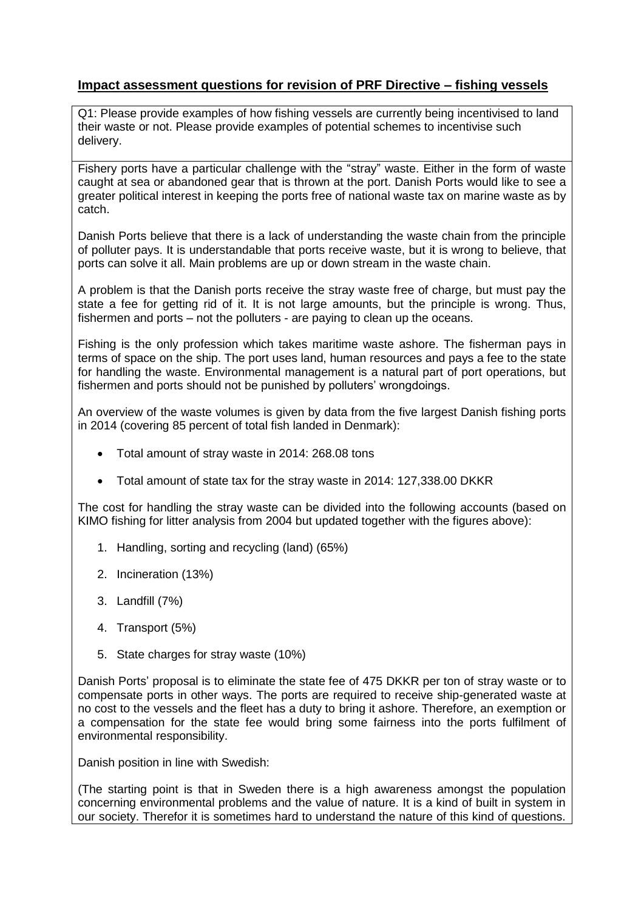## **Impact assessment questions for revision of PRF Directive – fishing vessels**

Q1: Please provide examples of how fishing vessels are currently being incentivised to land their waste or not. Please provide examples of potential schemes to incentivise such delivery.

Fishery ports have a particular challenge with the "stray" waste. Either in the form of waste caught at sea or abandoned gear that is thrown at the port. Danish Ports would like to see a greater political interest in keeping the ports free of national waste tax on marine waste as by catch.

Danish Ports believe that there is a lack of understanding the waste chain from the principle of polluter pays. It is understandable that ports receive waste, but it is wrong to believe, that ports can solve it all. Main problems are up or down stream in the waste chain.

A problem is that the Danish ports receive the stray waste free of charge, but must pay the state a fee for getting rid of it. It is not large amounts, but the principle is wrong. Thus, fishermen and ports – not the polluters - are paying to clean up the oceans.

Fishing is the only profession which takes maritime waste ashore. The fisherman pays in terms of space on the ship. The port uses land, human resources and pays a fee to the state for handling the waste. Environmental management is a natural part of port operations, but fishermen and ports should not be punished by polluters' wrongdoings.

An overview of the waste volumes is given by data from the five largest Danish fishing ports in 2014 (covering 85 percent of total fish landed in Denmark):

- Total amount of stray waste in 2014: 268.08 tons
- Total amount of state tax for the stray waste in 2014: 127,338.00 DKKR

The cost for handling the stray waste can be divided into the following accounts (based on KIMO fishing for litter analysis from 2004 but updated together with the figures above):

- 1. Handling, sorting and recycling (land) (65%)
- 2. Incineration (13%)
- 3. Landfill (7%)
- 4. Transport (5%)
- 5. State charges for stray waste (10%)

Danish Ports' proposal is to eliminate the state fee of 475 DKKR per ton of stray waste or to compensate ports in other ways. The ports are required to receive ship-generated waste at no cost to the vessels and the fleet has a duty to bring it ashore. Therefore, an exemption or a compensation for the state fee would bring some fairness into the ports fulfilment of environmental responsibility.

Danish position in line with Swedish:

(The starting point is that in Sweden there is a high awareness amongst the population concerning environmental problems and the value of nature. It is a kind of built in system in our society. Therefor it is sometimes hard to understand the nature of this kind of questions.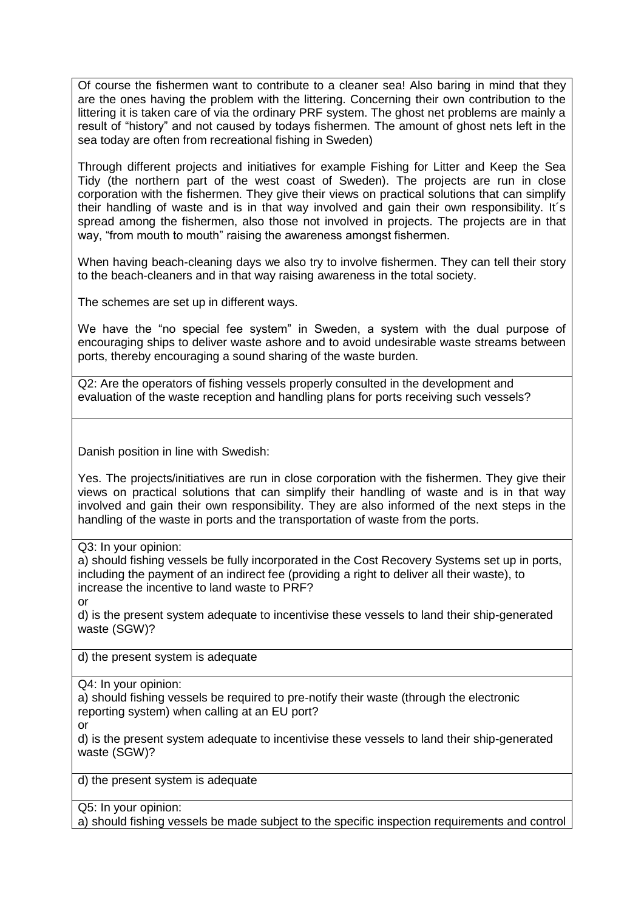Of course the fishermen want to contribute to a cleaner sea! Also baring in mind that they are the ones having the problem with the littering. Concerning their own contribution to the littering it is taken care of via the ordinary PRF system. The ghost net problems are mainly a result of "history" and not caused by todays fishermen. The amount of ghost nets left in the sea today are often from recreational fishing in Sweden)

Through different projects and initiatives for example Fishing for Litter and Keep the Sea Tidy (the northern part of the west coast of Sweden). The projects are run in close corporation with the fishermen. They give their views on practical solutions that can simplify their handling of waste and is in that way involved and gain their own responsibility. It´s spread among the fishermen, also those not involved in projects. The projects are in that way, "from mouth to mouth" raising the awareness amongst fishermen.

When having beach-cleaning days we also try to involve fishermen. They can tell their story to the beach-cleaners and in that way raising awareness in the total society.

The schemes are set up in different ways.

We have the "no special fee system" in Sweden, a system with the dual purpose of encouraging ships to deliver waste ashore and to avoid undesirable waste streams between ports, thereby encouraging a sound sharing of the waste burden.

Q2: Are the operators of fishing vessels properly consulted in the development and evaluation of the waste reception and handling plans for ports receiving such vessels?

Danish position in line with Swedish:

Yes. The projects/initiatives are run in close corporation with the fishermen. They give their views on practical solutions that can simplify their handling of waste and is in that way involved and gain their own responsibility. They are also informed of the next steps in the handling of the waste in ports and the transportation of waste from the ports.

Q3: In your opinion:

a) should fishing vessels be fully incorporated in the Cost Recovery Systems set up in ports, including the payment of an indirect fee (providing a right to deliver all their waste), to increase the incentive to land waste to PRF?

or

d) is the present system adequate to incentivise these vessels to land their ship-generated waste (SGW)?

d) the present system is adequate

Q4: In your opinion:

a) should fishing vessels be required to pre-notify their waste (through the electronic reporting system) when calling at an EU port?

or

d) is the present system adequate to incentivise these vessels to land their ship-generated waste (SGW)?

d) the present system is adequate

Q5: In your opinion:

a) should fishing vessels be made subject to the specific inspection requirements and control